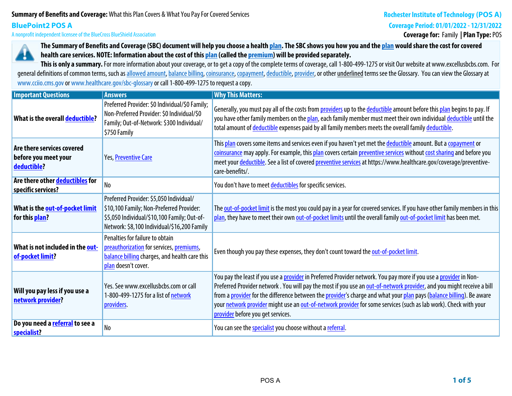## **Summary of Benefits and Coverage:What this Plan Covers & What You Pay For Covered Services**

# **BluePoint2 POS A**

**A nonprofit independent licensee of the BlueCross BlueShield Association**

# **Rochester Institute of Technology (POS A)**

**Coverage Period: 01/01/2022 - 12/31/2022**

**Coverage for: Family | Plan Type: POS**



**The Summary of Benefits and Coverage (SBC) document will help you choose a health plan. The SBC shows you how you and the plan would share the cost for covered health care services. NOTE: Information about the cost of this plan (called the premium) will be provided separately.**

This is only a summary. For more information about your coverage, or to get a copy of the complete terms of coverage, call 1-800-499-1275 or visit Our website at www.excellusbcbs.com. For general definitions of common terms, such as allowed amount, balance billing, coinsurance, copayment, deductible, provider, or other underlined terms see the Glossary. You can view the Glossary at **www.cciio.cms.gov or www.healthcare.gov/sbc-glossary or call 1-800-499-1275 to request a copy.**

| <b>Important Questions</b>                                        | <b>Answers</b>                                                                                                                                                                    | <b>Why This Matters:</b>                                                                                                                                                                                                                                                                                                                                                                                                                                                                                                                  |
|-------------------------------------------------------------------|-----------------------------------------------------------------------------------------------------------------------------------------------------------------------------------|-------------------------------------------------------------------------------------------------------------------------------------------------------------------------------------------------------------------------------------------------------------------------------------------------------------------------------------------------------------------------------------------------------------------------------------------------------------------------------------------------------------------------------------------|
| What is the overall deductible?                                   | Preferred Provider: \$0 Individual/\$0 Family;<br>Non-Preferred Provider: \$0 Individual/\$0<br>Family; Out-of-Network: \$300 Individual/<br>\$750 Family                         | Generally, you must pay all of the costs from providers up to the deductible amount before this plan begins to pay. If<br>you have other family members on the plan, each family member must meet their own individual deductible until the<br>total amount of deductible expenses paid by all family members meets the overall family deductible.                                                                                                                                                                                        |
| Are there services covered<br>before you meet your<br>deductible? | Yes, Preventive Care                                                                                                                                                              | This plan covers some items and services even if you haven't yet met the deductible amount. But a copayment or<br>coinsurance may apply. For example, this plan covers certain preventive services without cost sharing and before you<br>meet your deductible. See a list of covered preventive services at https://www.healthcare.gov/coverage/preventive-<br>care-benefits/.                                                                                                                                                           |
| Are there other deductibles for<br>specific services?             | N <sub>o</sub>                                                                                                                                                                    | You don't have to meet deductibles for specific services.                                                                                                                                                                                                                                                                                                                                                                                                                                                                                 |
| What is the out-of-pocket limit<br>for this plan?                 | Preferred Provider: \$5,050 Individual/<br>\$10,100 Family; Non-Preferred Provider:<br>\$5,050 Individual/\$10,100 Family; Out-of-<br>Network: \$8,100 Individual/\$16,200 Family | The out-of-pocket limit is the most you could pay in a year for covered services. If you have other family members in this<br>plan, they have to meet their own out-of-pocket limits until the overall family out-of-pocket limit has been met.                                                                                                                                                                                                                                                                                           |
| What is not included in the out-<br>of-pocket limit?              | Penalties for failure to obtain<br>preauthorization for services, premiums,<br>balance billing charges, and health care this<br>plan doesn't cover.                               | Even though you pay these expenses, they don't count toward the out-of-pocket limit.                                                                                                                                                                                                                                                                                                                                                                                                                                                      |
| Will you pay less if you use a<br>network provider?               | Yes. See www.excellusbcbs.com or call<br>1-800-499-1275 for a list of network<br>providers.                                                                                       | You pay the least if you use a <u>provider</u> in Preferred Provider network. You pay more if you use a <u>provider</u> in Non-<br>Preferred Provider network. You will pay the most if you use an out-of-network provider, and you might receive a bill<br>from a provider for the difference between the provider's charge and what your plan pays (balance billing). Be aware<br>your network provider might use an out-of-network provider for some services (such as lab work). Check with your<br>provider before you get services. |
| Do you need a referral to see a<br>specialist?                    | N <sub>o</sub>                                                                                                                                                                    | You can see the specialist you choose without a referral.                                                                                                                                                                                                                                                                                                                                                                                                                                                                                 |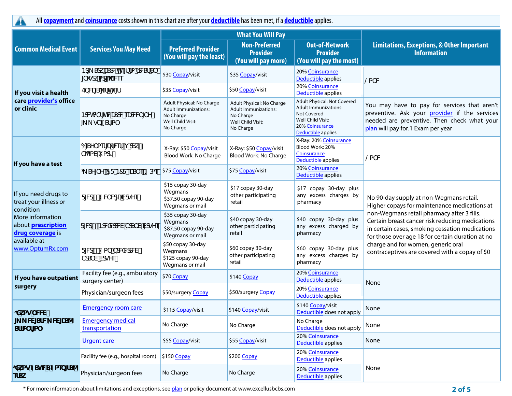**All copayment and coinsurance costs shown in this chart are after your deductible has been met, if a deductible applies.**

|                                                                                                                                                             | <b>Services You May Need</b>                                       |                                                                                                  | <b>What You Will Pay</b>                                                                                |                                                                                                                                         |                                                                                                                                                                                                                                                                                              |  |
|-------------------------------------------------------------------------------------------------------------------------------------------------------------|--------------------------------------------------------------------|--------------------------------------------------------------------------------------------------|---------------------------------------------------------------------------------------------------------|-----------------------------------------------------------------------------------------------------------------------------------------|----------------------------------------------------------------------------------------------------------------------------------------------------------------------------------------------------------------------------------------------------------------------------------------------|--|
| <b>Common Medical Event</b>                                                                                                                                 |                                                                    | <b>Preferred Provider</b><br>(You will pay the least)                                            | <b>Non-Preferred</b><br><b>Provider</b><br>(You will pay more)                                          | <b>Out-of-Network</b><br><b>Provider</b><br>(You will pay the most)                                                                     | <b>Limitations, Exceptions, &amp; Other Important</b><br><b>Information</b>                                                                                                                                                                                                                  |  |
| If you visit a health<br>care provider's office<br>or clinic                                                                                                | Bd_Sck USdVh[eff fa fd/8f S`<br>[ \gdk ad[ <sup><i>n</i></sup> Wee | \$30 Copay/visit                                                                                 | \$35 Copay/visit                                                                                        | 20% Coinsurance<br>Deductible applies                                                                                                   | $\alpha$ W                                                                                                                                                                                                                                                                                   |  |
|                                                                                                                                                             | EbVU[S1ef h[e[f                                                    | \$35 Copay/visit                                                                                 | \$50 Copay/visit                                                                                        | 20% Coinsurance<br>Deductible applies                                                                                                   |                                                                                                                                                                                                                                                                                              |  |
|                                                                                                                                                             | BOVINV f[hWUSOWeUdWV [Y!<br>$L_g$   Sf[a                           | Adult Physical: No Charge<br>Adult Immunizations:<br>No Charge<br>Well Child Visit:<br>No Charge | Adult Physical: No Charge<br><b>Adult Immunizations:</b><br>No Charge<br>Well Child Visit:<br>No Charge | Adult Physical: Not Covered<br><b>Adult Immunizations:</b><br>Not Covered<br>Well Child Visit:<br>20% Coinsurance<br>Deductible applies | You may have to pay for services that aren't<br>preventive. Ask your provider if the services<br>needed are preventive. Then check what your<br>plan will pay for.1 Exam per year                                                                                                            |  |
| If you have a test                                                                                                                                          | 6[SY` aef[UfVef/j ŽdSkł<br>T'aaVi ad fi                            | X-Ray: \$50 Copay/visit<br>Blood Work: No Charge                                                 | X-Ray: \$50 Copay/visit<br>Blood Work: No Charge                                                        | X-Ray: 20% Coinsurance<br>Blood Work: 20%<br>Coinsurance<br>Deductible applies                                                          | @a` W                                                                                                                                                                                                                                                                                        |  |
|                                                                                                                                                             |                                                                    |                                                                                                  | \$75 Copay/visit                                                                                        | 20% Coinsurance<br>Deductible applies                                                                                                   |                                                                                                                                                                                                                                                                                              |  |
| If you need drugs to<br>treat your illness or<br>condition<br>More information<br>about prescription<br>drug coverage is<br>available at<br>www.OptumRx.com | FM#/9WWdUVdqYefi                                                   | \$15 copay 30-day<br>Wegmans<br>\$37.50 copay 90-day<br>Wegmans or mail                          | \$17 copay 30-day<br>other participating<br>retail                                                      | \$17 copay 30-day plus<br>any excess charges by<br>pharmacy                                                                             | No 90-day supply at non-Wegmans retail.<br>Higher copays for maintenance medications at                                                                                                                                                                                                      |  |
|                                                                                                                                                             | FMd\$ / Bd/WMdW TdS` V VdgYef                                      | \$35 copay 30-day<br>Wegmans<br>\$87.50 copay 90-day<br>Wegmans or mail                          | \$40 copay 30-day<br>other participating<br>retail                                                      | \$40 copay 30-day plus<br>any excess charged by<br>pharmacy                                                                             | non-Wegmans retail pharmacy after 3 fills.<br>Certain breast cancer risk reducing medications<br>in certain cases, smoking cessation medications<br>for those over age 18 for certain duration at no<br>charge and for women, generic oral<br>contraceptives are covered with a copay of \$0 |  |
|                                                                                                                                                             | FM4%/@a` Žod/W/dd/W<br>ToS V VobyYefi                              | \$50 copay 30-day<br>Wegmans<br>\$125 copay 90-day<br>Wegmans or mail                            | \$60 copay 30-day<br>other participating<br>retail                                                      | \$60 copay 30-day plus<br>any excess charges by<br>pharmacy                                                                             |                                                                                                                                                                                                                                                                                              |  |
| If you have outpatient<br>surgery                                                                                                                           | Facility fee (e.g., ambulatory<br>surgery center)                  | \$70 Copay                                                                                       | \$140 Copay                                                                                             | 20% Coinsurance<br>Deductible applies                                                                                                   | None                                                                                                                                                                                                                                                                                         |  |
|                                                                                                                                                             | Physician/surgeon fees                                             | \$50/surgery Copay                                                                               | \$50/surgery Copay                                                                                      | 20% Coinsurance<br>Deductible applies                                                                                                   |                                                                                                                                                                                                                                                                                              |  |
| ;Xkag`WW<br>. <b>_ w[</b> sfw <b>_ w[U</b> s^<br>SffWf[a`                                                                                                   | <b>Emergency room care</b>                                         | \$115 Copay/visit                                                                                | \$140 Copay/visit                                                                                       | \$140 Copay/visit<br>Deductible does not apply                                                                                          | None                                                                                                                                                                                                                                                                                         |  |
|                                                                                                                                                             | <b>Emergency medical</b><br>transportation                         | No Charge                                                                                        | No Charge                                                                                               | No Charge<br>Deductible does not apply                                                                                                  | None                                                                                                                                                                                                                                                                                         |  |
|                                                                                                                                                             | <b>Urgent care</b>                                                 | \$55 Copay/visit                                                                                 | \$55 Copay/visit                                                                                        | 20% Coinsurance<br>Deductible applies                                                                                                   | None                                                                                                                                                                                                                                                                                         |  |
| ;Xkag ZShWS Zaeb[fS^<br><b>efSk</b>                                                                                                                         | Facility fee (e.g., hospital room)                                 | $$150$ Copay                                                                                     | \$200 Copay                                                                                             | 20% Coinsurance<br>Deductible applies                                                                                                   |                                                                                                                                                                                                                                                                                              |  |
|                                                                                                                                                             | Physician/surgeon fees                                             | No Charge                                                                                        | No Charge                                                                                               | 20% Coinsurance<br>Deductible applies                                                                                                   | None                                                                                                                                                                                                                                                                                         |  |

\* For more information about limitations and exceptions, see plan or policy document at www.excellusbcbs.com **2 of 5**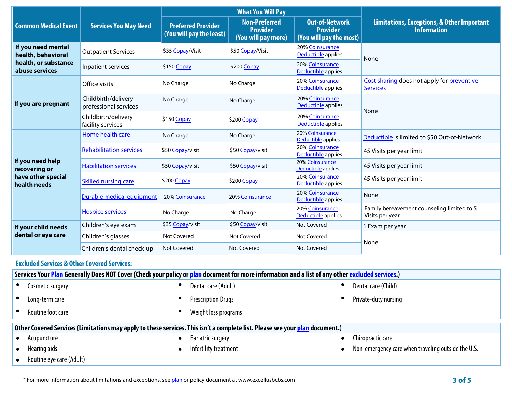|                                                                                                                                                  |                                                         | <b>What You Will Pay</b>                              |                                                                |                                                                     |                                                                             |  |
|--------------------------------------------------------------------------------------------------------------------------------------------------|---------------------------------------------------------|-------------------------------------------------------|----------------------------------------------------------------|---------------------------------------------------------------------|-----------------------------------------------------------------------------|--|
| <b>Common Medical Event</b>                                                                                                                      | <b>Services You May Need</b>                            | <b>Preferred Provider</b><br>(You will pay the least) | <b>Non-Preferred</b><br><b>Provider</b><br>(You will pay more) | <b>Out-of-Network</b><br><b>Provider</b><br>(You will pay the most) | <b>Limitations, Exceptions, &amp; Other Important</b><br><b>Information</b> |  |
| If you need mental<br>health, behavioral<br>health, or substance<br>abuse services                                                               | <b>Outpatient Services</b>                              | \$35 Copay/Visit                                      | \$50 Copay/Visit                                               | 20% Coinsurance<br>Deductible applies                               | None                                                                        |  |
|                                                                                                                                                  | Inpatient services                                      | \$150 Copay                                           | \$200 Copay                                                    | 20% Coinsurance<br>Deductible applies                               |                                                                             |  |
| If you are pregnant                                                                                                                              | Office visits                                           | No Charge                                             | No Charge                                                      | 20% Coinsurance<br>Deductible applies                               | Cost sharing does not apply for preventive<br><b>Services</b>               |  |
|                                                                                                                                                  | Childbirth/delivery<br>professional services            | No Charge                                             | No Charge                                                      | 20% Coinsurance<br>Deductible applies                               | None                                                                        |  |
|                                                                                                                                                  | Childbirth/delivery<br>facility services                | \$150 Copay                                           | \$200 Copay                                                    | 20% Coinsurance<br>Deductible applies                               |                                                                             |  |
| If you need help<br>recovering or<br>have other special<br>health needs                                                                          | Home health care                                        | No Charge                                             | No Charge                                                      | 20% Coinsurance<br>Deductible applies                               | Deductible is limited to \$50 Out-of-Network                                |  |
|                                                                                                                                                  | <b>Rehabilitation services</b>                          | \$50 Copay/visit                                      | \$50 Copay/visit                                               | 20% Coinsurance<br>Deductible applies                               | 45 Visits per year limit                                                    |  |
|                                                                                                                                                  | <b>Habilitation services</b>                            | \$50 Copay/visit                                      | \$50 Copay/visit                                               | 20% Coinsurance<br>Deductible applies                               | 45 Visits per year limit                                                    |  |
|                                                                                                                                                  | <b>Skilled nursing care</b>                             | \$200 Copay                                           | \$200 Copay                                                    | 20% Coinsurance<br>Deductible applies                               | 45 Visits per year limit                                                    |  |
|                                                                                                                                                  | Durable medical equipment                               | 20% Coinsurance                                       | 20% Coinsurance                                                | 20% Coinsurance<br>Deductible applies                               | None                                                                        |  |
|                                                                                                                                                  | <b>Hospice services</b>                                 | No Charge                                             | No Charge                                                      | 20% Coinsurance<br>Deductible applies                               | Family bereavement counseling limited to 5<br>Visits per year               |  |
| If your child needs<br>dental or eye care                                                                                                        | Children's eye exam                                     | \$35 Copay/visit                                      | \$50 Copay/visit                                               | <b>Not Covered</b>                                                  | 1 Exam per year                                                             |  |
|                                                                                                                                                  | Children's glasses                                      | <b>Not Covered</b>                                    | <b>Not Covered</b>                                             | <b>Not Covered</b>                                                  | None                                                                        |  |
|                                                                                                                                                  | Children's dental check-up                              | Not Covered                                           | <b>Not Covered</b>                                             | Not Covered                                                         |                                                                             |  |
| <b>Excluded Services &amp; Other Covered Services:</b>                                                                                           |                                                         |                                                       |                                                                |                                                                     |                                                                             |  |
| Services Your Plan Generally Does NOT Cover (Check your policy or plan document for more information and a list of any other excluded services.) |                                                         |                                                       |                                                                |                                                                     |                                                                             |  |
| Cosmetic surgery                                                                                                                                 | Dental care (Child)<br>Dental care (Adult)<br>$\bullet$ |                                                       |                                                                |                                                                     |                                                                             |  |
| Long-term care                                                                                                                                   | <b>Prescription Drugs</b>                               |                                                       |                                                                |                                                                     | Private-duty nursing                                                        |  |
| Routine foot care                                                                                                                                | Weight loss programs                                    |                                                       |                                                                |                                                                     |                                                                             |  |

## Other Covered Services (Limitations may apply to these services. This isn't a complete list. Please see your plan document.)

**• Acupuncture • Bariatric surgery • Chiropractic care • Hearing aids • Infertility treatment • Non-emergency care when traveling outside the U.S. • Routine eye care (Adult)**

\* For more information about limitations and exceptions, see plan or policy document at www.excellusbcbs.com **3 of 5**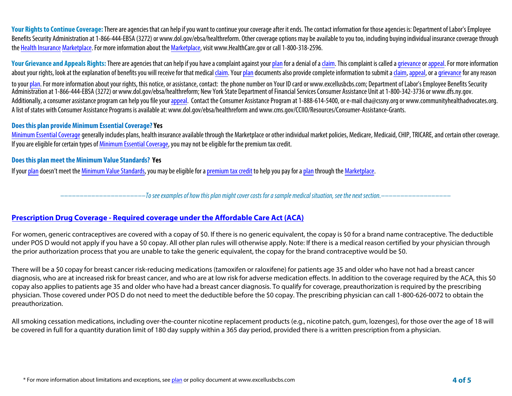Your Rights to Continue Coverage: There are agencies that can help if you want to continue your coverage after it ends. The contact information for those agencies is: Department of Labor's Employee Benefits Security Administration at 1-866-444-EBSA (3272) or www.dol.gov/ebsa/healthreform. Other coverage options may be available to you too, including buying individual insurance coverage through **the Health Insurance Marketplace. For more information about the Marketplace, visit www.HealthCare.gov or call 1-800-318-2596.**

Your Grievance and Appeals Rights: There are agencies that can help if you have a complaint against your plan for a denial of a claim. This complaint is called a grievance or appeal. For more information **about your rights, look at the explanation of benefits you will receive for that medical claim. Your plan documents also provide complete information to submit a claim, appeal, or a grievance for any reason** 

**to your plan. For more information about your rights, this notice, or assistance, contact: the phone number on Your ID card or www.excellusbcbs.com; Department of Labor's Employee Benefits Security Administration at 1-866-444-EBSA (3272) or www.dol.gov/ebsa/healthreform; New York State Department of Financial Services Consumer Assistance Unitat 1-800-342-3736 or www.dfs.ny.gov.** Additionally, a consumer assistance program can help you file your appeal. Contact the Consumer Assistance Program at 1-888-614-5400, or e-mail cha@cssny.org or www.communityhealthadvocates.org. **A list of states with Consumer Assistance Programs is available at: www.dol.gov/ebsa/healthreform and www.cms.gov/CCIIO/Resources/Consumer-Assistance-Grants.**

#### **Does this plan provide Minimum Essential Coverage? Yes**

Minimum Essential Coverage generally includes plans, health insurance available through the Marketplace or other individual market policies, Medicare, Medicaid, CHIP, TRICARE, and certain other coverage. **If you are eligible for certain types of Minimum Essential Coverage, you may not be eligible for the premium tax credit.**

#### **Does this plan meet the Minimum Value Standards? Yes**

**If your plan doesn't meet the Minimum Value Standards, you may be eligible for a premium tax credit to help you pay for a plan through the Marketplace.**

**––––––––––––––––––––––***To see examples of how this plan might cover costs for a sample medical situation, see the next section.–––––––––––***–––––––**

# **Prescription Drug Coverage - Required coverage under the Affordable Care Act (ACA)**

For women, generic contraceptives are covered with a copay of \$0. If there is no generic equivalent, the copay is \$0 for a brand name contraceptive. The deductible under POS D would not apply if you have a \$0 copay. All other plan rules will otherwise apply. Note: If there is a medical reason certified by your physician through the prior authorization process that you are unable to take the generic equivalent, the copay for the brand contraceptive would be \$0.

There will be a \$0 copay for breast cancer risk-reducing medications (tamoxifen or raloxifene) for patients age 35 and older who have not had a breast cancer diagnosis, who are at increased risk for breast cancer, and who are at low risk for adverse medication effects. In addition to the coverage required by the ACA, this \$0 copay also applies to patients age 35 and older who have had a breast cancer diagnosis. To qualify for coverage, preauthorization is required by the prescribing physician. Those covered under POS D do not need to meet the deductible before the \$0 copay. The prescribing physician can call 1-800-626-0072 to obtain the preauthorization.

All smoking cessation medications, including over-the-counter nicotine replacement products (e.g., nicotine patch, gum, lozenges), for those over the age of 18 will be covered in full for a quantity duration limit of 180 day supply within a 365 day period, provided there is a written prescription from a physician.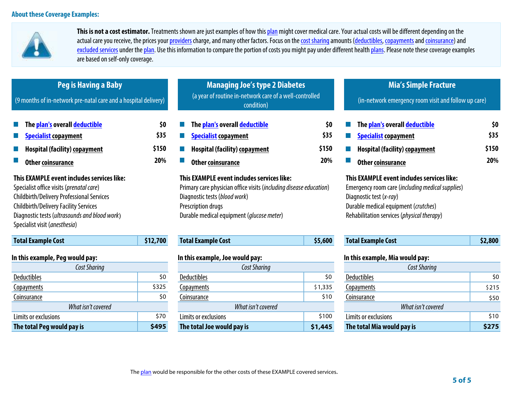

**This is not a cost estimator. Treatments shown are just examples of how this plan might cover medical care. Your actual costs will be different depending on the**  actual care you receive, the prices your providers charge, and many other factors. Focus on the cost sharing amounts (deductibles, copayments and coinsurance) and excluded services under the plan. Use this information to compare the portion of costs you might pay under different health plans. Please note these coverage examples **are based on self-only coverage.**

| Peg is Having a Baby<br>(9 months of in-network pre-natal care and a hospital delivery)                                                                                                                                                                                      |          | <b>Managing Joe's type 2 Diabetes</b><br>(a year of routine in-network care of a well-controlled<br>condition)                                                                                                                |         | <b>Mia's Simple Fracture</b><br>(in-network emergency room visit and follow up care)                                                                                                                            |                             |
|------------------------------------------------------------------------------------------------------------------------------------------------------------------------------------------------------------------------------------------------------------------------------|----------|-------------------------------------------------------------------------------------------------------------------------------------------------------------------------------------------------------------------------------|---------|-----------------------------------------------------------------------------------------------------------------------------------------------------------------------------------------------------------------|-----------------------------|
| The <mark>plan's</mark> overall <mark>deductible</mark><br>\$0<br>\$35<br><b>Specialist copayment</b><br>\$150<br><b>Hospital (facility) copayment</b><br>20%<br>Other coinsurance                                                                                           |          | The plan's overall deductible<br>\$0<br>\$35<br><b>Specialist copayment</b><br>\$150<br><b>Hospital (facility) copayment</b><br>20%<br><b>Other coinsurance</b>                                                               |         | The plan's overall deductible<br><b>Specialist copayment</b><br><b>Hospital (facility) copayment</b><br><b>Other coinsurance</b>                                                                                | \$0<br>\$35<br>\$150<br>20% |
| This EXAMPLE event includes services like:<br>Specialist office visits (prenatal care)<br><b>Childbirth/Delivery Professional Services</b><br><b>Childbirth/Delivery Facility Services</b><br>Diagnostic tests (ultrasounds and blood work)<br>Specialist visit (anesthesia) |          | This EXAMPLE event includes services like:<br>Primary care physician office visits (including disease education)<br>Diagnostic tests (blood work)<br>Prescription drugs<br>Durable medical equipment ( <i>glucose meter</i> ) |         | This EXAMPLE event includes services like:<br>Emergency room care (including medical supplies)<br>Diagnostic test (x-ray)<br>Durable medical equipment (crutches)<br>Rehabilitation services (physical therapy) |                             |
| <b>Total Example Cost</b>                                                                                                                                                                                                                                                    | \$12,700 | <b>Total Example Cost</b>                                                                                                                                                                                                     | \$5,600 | <b>Total Example Cost</b>                                                                                                                                                                                       | \$2,800                     |
| In this example, Peg would pay:<br><b>Cost Sharing</b>                                                                                                                                                                                                                       |          | In this example, Joe would pay:<br><b>Cost Sharing</b>                                                                                                                                                                        |         | In this example, Mia would pay:<br>Cost Sharing                                                                                                                                                                 |                             |
| <b>Deductibles</b>                                                                                                                                                                                                                                                           | \$0      | <b>Deductibles</b>                                                                                                                                                                                                            | \$0     | \$0<br><b>Deductibles</b>                                                                                                                                                                                       |                             |
| <b>Copayments</b>                                                                                                                                                                                                                                                            | \$325    | Copayments                                                                                                                                                                                                                    | \$1,335 | Copayments                                                                                                                                                                                                      | \$215                       |
| \$0<br>Coinsurance                                                                                                                                                                                                                                                           |          | \$10<br>Coinsurance                                                                                                                                                                                                           |         | Coinsurance                                                                                                                                                                                                     | \$50                        |
| What isn't covered                                                                                                                                                                                                                                                           |          | What isn't covered                                                                                                                                                                                                            |         | What isn't covered                                                                                                                                                                                              |                             |

**Limits or exclusions** \$70 **Limits or exclusions** \$100 **Limits or exclusions** \$10 **The total Peg would pay is \$495 The total Joe would pay is \$1,445 The total Mia would pay is \$275**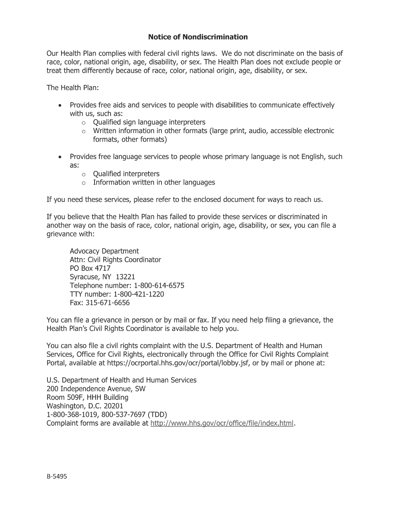### **Notice of Nondiscrimination**

Our Health Plan complies with federal civil rights laws. We do not discriminate on the basis of race, color, national origin, age, disability, or sex. The Health Plan does not exclude people or treat them differently because of race, color, national origin, age, disability, or sex.

The Health Plan:

- Provides free aids and services to people with disabilities to communicate effectively with us, such as:
	- $\circ$  Oualified sign language interpreters
	- $\circ$  Written information in other formats (large print, audio, accessible electronic formats, other formats)
- Provides free language services to people whose primary language is not English, such as:
	- $\circ$  Qualified interpreters
	- $\circ$  Information written in other languages

If you need these services, please refer to the enclosed document for ways to reach us.

If you believe that the Health Plan has failed to provide these services or discriminated in another way on the basis of race, color, national origin, age, disability, or sex, you can file a grievance with:

**Advocacy Department** Attn: Civil Rights Coordinator PO Box 4717 Syracuse, NY 13221 Telephone number: 1-800-614-6575 TTY number: 1-800-421-1220 Fax: 315-671-6656

You can file a grievance in person or by mail or fax. If you need help filing a grievance, the Health Plan's Civil Rights Coordinator is available to help you.

You can also file a civil rights complaint with the U.S. Department of Health and Human Services, Office for Civil Rights, electronically through the Office for Civil Rights Complaint Portal, available at https://ocrportal.hhs.gov/ocr/portal/lobby.jsf, or by mail or phone at:

U.S. Department of Health and Human Services 200 Independence Avenue, SW Room 509F, HHH Building Washington, D.C. 20201 1-800-368-1019, 800-537-7697 (TDD) Complaint forms are available at http://www.hhs.gov/ocr/office/file/index.html.